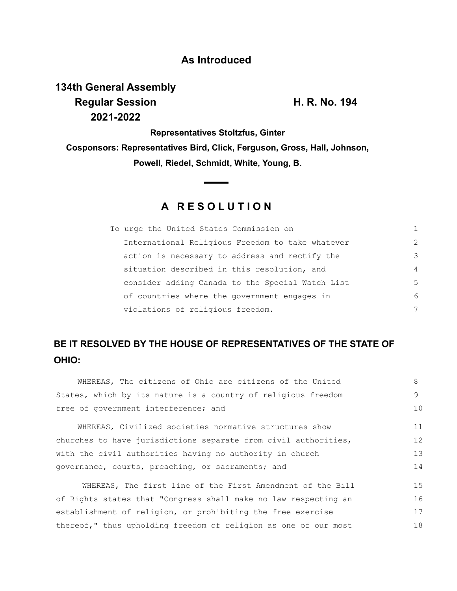### **As Introduced**

# **134th General Assembly Regular Session H. R. No. 194 2021-2022**

**Representatives Stoltzfus, Ginter Cosponsors: Representatives Bird, Click, Ferguson, Gross, Hall, Johnson, Powell, Riedel, Schmidt, White, Young, B.**

### **A R E S O L U T I O N**

| To urge the United States Commission on          | 1              |
|--------------------------------------------------|----------------|
| International Religious Freedom to take whatever | $\mathcal{P}$  |
| action is necessary to address and rectify the   | 3              |
| situation described in this resolution, and      | $\overline{4}$ |
| consider adding Canada to the Special Watch List | .5             |
| of countries where the government engages in     | 6              |
| violations of religious freedom.                 | 7              |

## **BE IT RESOLVED BY THE HOUSE OF REPRESENTATIVES OF THE STATE OF OHIO:**

| WHEREAS, The citizens of Ohio are citizens of the United        | 8  |  |  |  |  |  |  |
|-----------------------------------------------------------------|----|--|--|--|--|--|--|
| States, which by its nature is a country of religious freedom   |    |  |  |  |  |  |  |
| free of government interference; and                            |    |  |  |  |  |  |  |
| WHEREAS, Civilized societies normative structures show          | 11 |  |  |  |  |  |  |
| churches to have jurisdictions separate from civil authorities, |    |  |  |  |  |  |  |
| with the civil authorities having no authority in church        |    |  |  |  |  |  |  |
| governance, courts, preaching, or sacraments; and               |    |  |  |  |  |  |  |
| WHEREAS, The first line of the First Amendment of the Bill      | 15 |  |  |  |  |  |  |
| of Rights states that "Congress shall make no law respecting an |    |  |  |  |  |  |  |
| establishment of religion, or prohibiting the free exercise     |    |  |  |  |  |  |  |
| thereof," thus upholding freedom of religion as one of our most |    |  |  |  |  |  |  |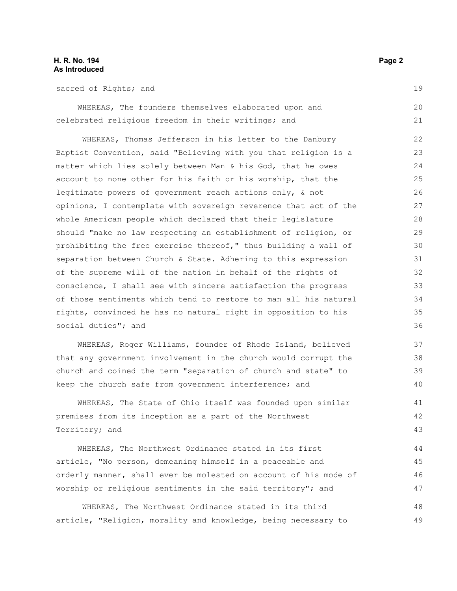#### **H. R. No. 194** Page 2 **As Introduced**

sacred of Rights; and

WHEREAS, The founders themselves elaborated upon and celebrated religious freedom in their writings; and 20 21

WHEREAS, Thomas Jefferson in his letter to the Danbury Baptist Convention, said "Believing with you that religion is a matter which lies solely between Man & his God, that he owes account to none other for his faith or his worship, that the legitimate powers of government reach actions only, & not opinions, I contemplate with sovereign reverence that act of the whole American people which declared that their legislature should "make no law respecting an establishment of religion, or prohibiting the free exercise thereof," thus building a wall of separation between Church & State. Adhering to this expression of the supreme will of the nation in behalf of the rights of conscience, I shall see with sincere satisfaction the progress of those sentiments which tend to restore to man all his natural rights, convinced he has no natural right in opposition to his social duties"; and

WHEREAS, Roger Williams, founder of Rhode Island, believed that any government involvement in the church would corrupt the church and coined the term "separation of church and state" to keep the church safe from government interference; and

WHEREAS, The State of Ohio itself was founded upon similar premises from its inception as a part of the Northwest Territory; and

WHEREAS, The Northwest Ordinance stated in its first article, "No person, demeaning himself in a peaceable and orderly manner, shall ever be molested on account of his mode of worship or religious sentiments in the said territory"; and

WHEREAS, The Northwest Ordinance stated in its third article, "Religion, morality and knowledge, being necessary to 48 49

19

41 42 43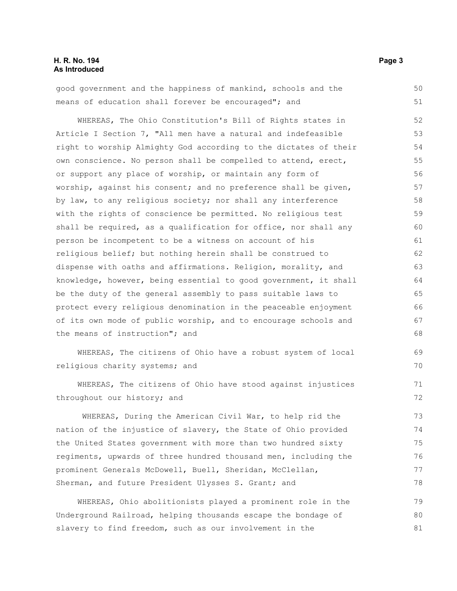#### **H. R. No. 194 Page 3 As Introduced**

good government and the happiness of mankind, schools and the means of education shall forever be encouraged"; and 50 51

WHEREAS, The Ohio Constitution's Bill of Rights states in Article I Section 7, "All men have a natural and indefeasible right to worship Almighty God according to the dictates of their own conscience. No person shall be compelled to attend, erect, or support any place of worship, or maintain any form of worship, against his consent; and no preference shall be given, by law, to any religious society; nor shall any interference with the rights of conscience be permitted. No religious test shall be required, as a qualification for office, nor shall any person be incompetent to be a witness on account of his religious belief; but nothing herein shall be construed to dispense with oaths and affirmations. Religion, morality, and knowledge, however, being essential to good government, it shall be the duty of the general assembly to pass suitable laws to protect every religious denomination in the peaceable enjoyment of its own mode of public worship, and to encourage schools and the means of instruction"; and 52 53 54 55 56 57 58 59 60 61 62 63 64 65 66 67 68

WHEREAS, The citizens of Ohio have a robust system of local religious charity systems; and

WHEREAS, The citizens of Ohio have stood against injustices throughout our history; and

WHEREAS, During the American Civil War, to help rid the nation of the injustice of slavery, the State of Ohio provided the United States government with more than two hundred sixty regiments, upwards of three hundred thousand men, including the prominent Generals McDowell, Buell, Sheridan, McClellan, Sherman, and future President Ulysses S. Grant; and

WHEREAS, Ohio abolitionists played a prominent role in the Underground Railroad, helping thousands escape the bondage of slavery to find freedom, such as our involvement in the 79 80 81

69 70

71 72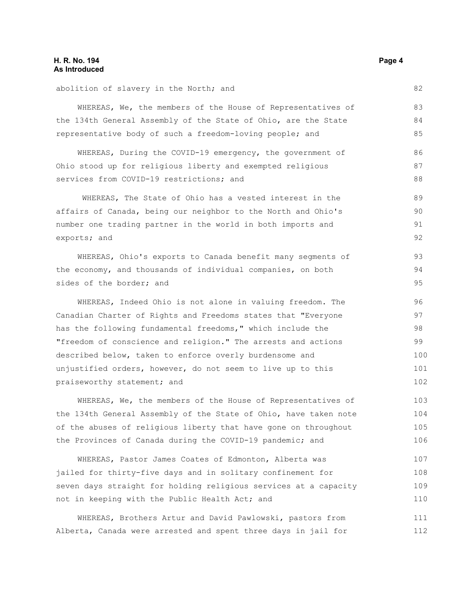#### **H. R. No. 194** Page 4 **As Introduced**

abolition of slavery in the North; and WHEREAS, We, the members of the House of Representatives of the 134th General Assembly of the State of Ohio, are the State representative body of such a freedom-loving people; and WHEREAS, During the COVID-19 emergency, the government of Ohio stood up for religious liberty and exempted religious services from COVID-19 restrictions; and WHEREAS, The State of Ohio has a vested interest in the affairs of Canada, being our neighbor to the North and Ohio's number one trading partner in the world in both imports and exports; and WHEREAS, Ohio's exports to Canada benefit many segments of the economy, and thousands of individual companies, on both sides of the border; and WHEREAS, Indeed Ohio is not alone in valuing freedom. The Canadian Charter of Rights and Freedoms states that "Everyone has the following fundamental freedoms," which include the "freedom of conscience and religion." The arrests and actions described below, taken to enforce overly burdensome and unjustified orders, however, do not seem to live up to this praiseworthy statement; and WHEREAS, We, the members of the House of Representatives of the 134th General Assembly of the State of Ohio, have taken note of the abuses of religious liberty that have gone on throughout the Provinces of Canada during the COVID-19 pandemic; and 82 83 84 85 86 87 88 89 90 91 92 93 94 95 96 97 98 99 100 101 102 103 104 105 106

WHEREAS, Pastor James Coates of Edmonton, Alberta was jailed for thirty-five days and in solitary confinement for seven days straight for holding religious services at a capacity not in keeping with the Public Health Act; and 107 108 109 110

WHEREAS, Brothers Artur and David Pawlowski, pastors from Alberta, Canada were arrested and spent three days in jail for 111 112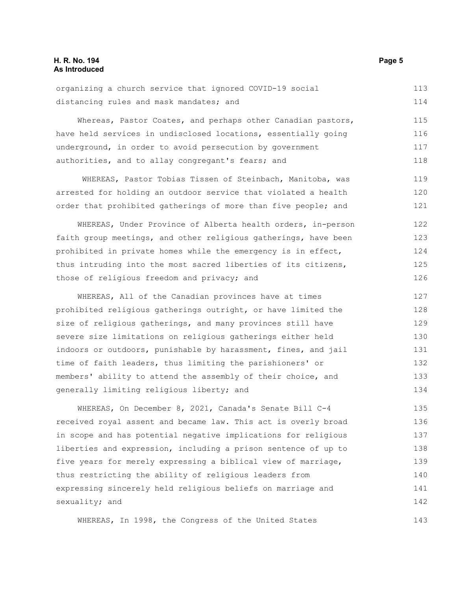#### **H. R. No. 194** Page 5 **As Introduced**

| organizing a church service that ignored COVID-19 social |  |  |  | 113 |
|----------------------------------------------------------|--|--|--|-----|
| distancing rules and mask mandates; and                  |  |  |  | 114 |

Whereas, Pastor Coates, and perhaps other Canadian pastors, have held services in undisclosed locations, essentially going underground, in order to avoid persecution by government authorities, and to allay congregant's fears; and 115 116 117 118

WHEREAS, Pastor Tobias Tissen of Steinbach, Manitoba, was arrested for holding an outdoor service that violated a health order that prohibited gatherings of more than five people; and

WHEREAS, Under Province of Alberta health orders, in-person faith group meetings, and other religious gatherings, have been prohibited in private homes while the emergency is in effect, thus intruding into the most sacred liberties of its citizens, those of religious freedom and privacy; and 122 123 124 125 126

WHEREAS, All of the Canadian provinces have at times prohibited religious gatherings outright, or have limited the size of religious gatherings, and many provinces still have severe size limitations on religious gatherings either held indoors or outdoors, punishable by harassment, fines, and jail time of faith leaders, thus limiting the parishioners' or members' ability to attend the assembly of their choice, and generally limiting religious liberty; and 127 128 129 130 131 132 133 134

WHEREAS, On December 8, 2021, Canada's Senate Bill C-4 received royal assent and became law. This act is overly broad in scope and has potential negative implications for religious liberties and expression, including a prison sentence of up to five years for merely expressing a biblical view of marriage, thus restricting the ability of religious leaders from expressing sincerely held religious beliefs on marriage and sexuality; and 135 136 137 138 139 140 141 142

WHEREAS, In 1998, the Congress of the United States

119 120 121